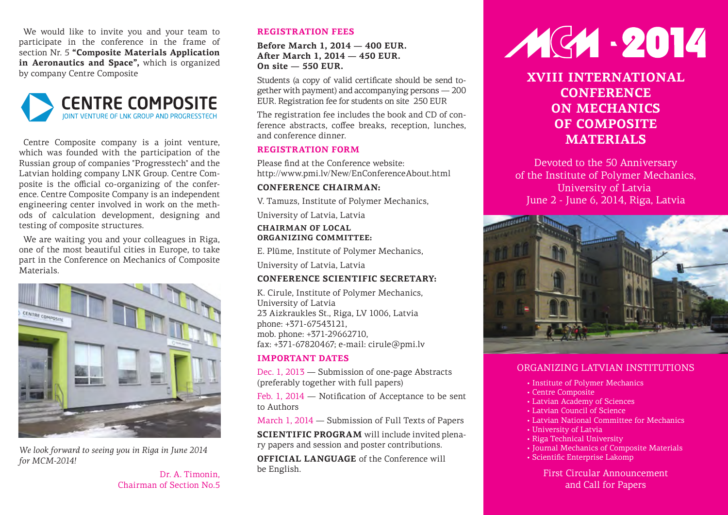We would like to invite you and your team to participate in the conference in the frame of section Nr. 5 **"Composite Materials Application in Aeronautics and Space",** which is organized by company Centre Composite



Centre Composite company is a joint venture, which was founded with the participation of the Russian group of companies "Progresstech" and the Latvian holding company LNK Group. Centre Composite is the official co-organizing of the conference. Centre Composite Company is an independent engineering center involved in work on the methods of calculation development, designing and testing of composite structures.

We are waiting you and your colleagues in Riga, one of the most beautiful cities in Europe, to take part in the Conference on Mechanics of Composite Materials.



*We look forward to seeing you in Riga in June 2014 for MCM-2014!*

> Dr. A. Timonin, Chairman of Section No.5

#### **REGISTRATION FEES**

#### **Before March 1, 2014 — 400 EUR. Aſter March 1, 2014 — 450 EUR. On site — 550 EUR.**

Students (a copy of valid certificate should be send together with payment) and accompanying persons — 200 EUR. Registration fee for students on site 250 EUR

The registration fee includes the book and CD of conference abstracts, coffee breaks, reception, lunches, and conference dinner.

#### **REGISTRATION FORM**

Please find at the Conference website: http://www.pmi.lv/New/EnConferenceAbout.html

#### **CONFERENCE CHAIRMAN:**

V. Tamuzs, Institute of Polymer Mechanics,

University of Latvia, Latvia

#### **CHAIRMAN OF LOCAL ORGANIZING COMMITTEE:**

E. Plūme, Institute of Polymer Mechanics,

University of Latvia, Latvia

#### **CONFERENCE SCIENTIFIC SECRETARY:**

K. Cirule, Institute of Polymer Mechanics, University of Latvia 23 Aizkraukles St., Riga, LV 1006, Latvia phone: +371-67543121, mob. phone: +371-29662710, fax: +371-67820467; e-mail: cirule@pmi.lv

#### **IMPORTANT DATES**

Dec. 1, 2013 — Submission of one-page Abstracts (preferably together with full papers)

Feb. 1, 2014 — Notification of Acceptance to be sent to Authors

March 1, 2014 — Submission of Full Texts of Papers

**SCIENTIFIC PROGRAM** will include invited plenary papers and session and poster contributions.

**OFFICIAL LANGUAGE** of the Conference will be English.

# 1914-2014

**XVIII INTERNATIONAL CONFERENCE ON MECHANICS OF COMPOSITE MATERIALS**

Devoted to the 50 Anniversary of the Institute of Polymer Mechanics, University of Latvia June 2 - June 6, 2014, Riga, Latvia



# ORGANIZING LATVIAN INSTITUTIONS

- Institute of Polymer Mechanics
- Centre Composite
- Latvian Academy of Sciences
- Latvian Council of Science
- Latvian National Committee for Mechanics
- University of Latvia
- Riga Technical University
- Journal Mechanics of Composite Materials
- Scientific Enterprise Lakomp

First Circular Announcement and Call for Papers